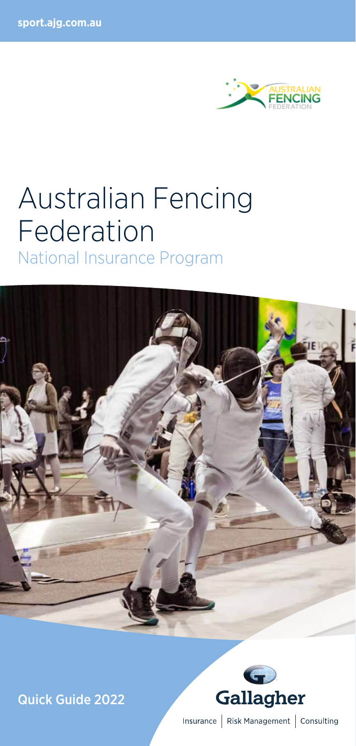

# Australian Fencing Federation

National Insurance Program



Quick Guide 2022



Insurance | Risk Management | Consulting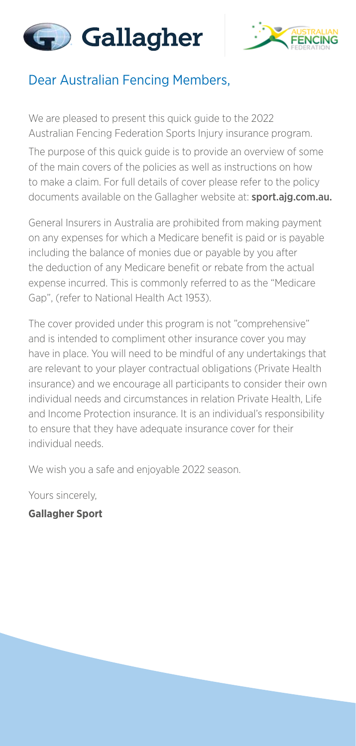



## Dear Australian Fencing Members,

We are pleased to present this quick guide to the 2022 Australian Fencing Federation Sports Injury insurance program.

The purpose of this quick guide is to provide an overview of some of the main covers of the policies as well as instructions on how to make a claim. For full details of cover please refer to the policy documents available on the Gallagher website at: sport.ajg.com.au.

General Insurers in Australia are prohibited from making payment on any expenses for which a Medicare benefit is paid or is payable including the balance of monies due or payable by you after the deduction of any Medicare benefit or rebate from the actual expense incurred. This is commonly referred to as the "Medicare Gap", (refer to National Health Act 1953).

The cover provided under this program is not "comprehensive" and is intended to compliment other insurance cover you may have in place. You will need to be mindful of any undertakings that are relevant to your player contractual obligations (Private Health insurance) and we encourage all participants to consider their own individual needs and circumstances in relation Private Health, Life and Income Protection insurance. It is an individual's responsibility to ensure that they have adequate insurance cover for their individual needs.

We wish you a safe and enjoyable 2022 season.

Yours sincerely,

**Gallagher Sport**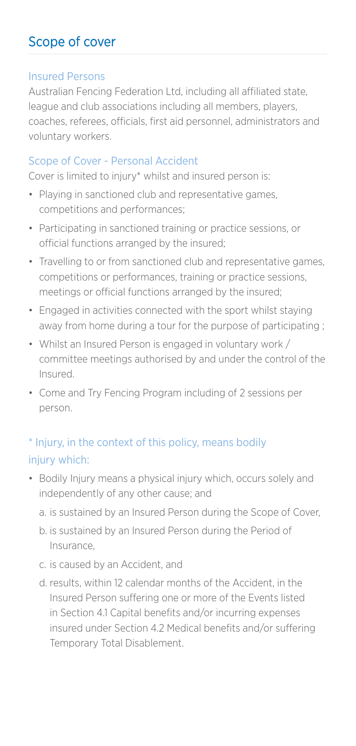# Scope of cover

#### Insured Persons

Australian Fencing Federation Ltd, including all affiliated state, league and club associations including all members, players, coaches, referees, officials, first aid personnel, administrators and voluntary workers.

#### Scope of Cover - Personal Accident

Cover is limited to injury\* whilst and insured person is:

- Playing in sanctioned club and representative games, competitions and performances;
- Participating in sanctioned training or practice sessions, or official functions arranged by the insured;
- Travelling to or from sanctioned club and representative games, competitions or performances, training or practice sessions, meetings or official functions arranged by the insured;
- Engaged in activities connected with the sport whilst staying away from home during a tour for the purpose of participating ;
- Whilst an Insured Person is engaged in voluntary work / committee meetings authorised by and under the control of the Insured.
- Come and Try Fencing Program including of 2 sessions per person.

## \* Injury, in the context of this policy, means bodily injury which:

- Bodily Injury means a physical injury which, occurs solely and independently of any other cause; and
	- a. is sustained by an Insured Person during the Scope of Cover,
	- b. is sustained by an Insured Person during the Period of Insurance,
	- c. is caused by an Accident, and
	- d. results, within 12 calendar months of the Accident, in the Insured Person suffering one or more of the Events listed in Section 4.1 Capital benefits and/or incurring expenses insured under Section 4.2 Medical benefits and/or suffering Temporary Total Disablement.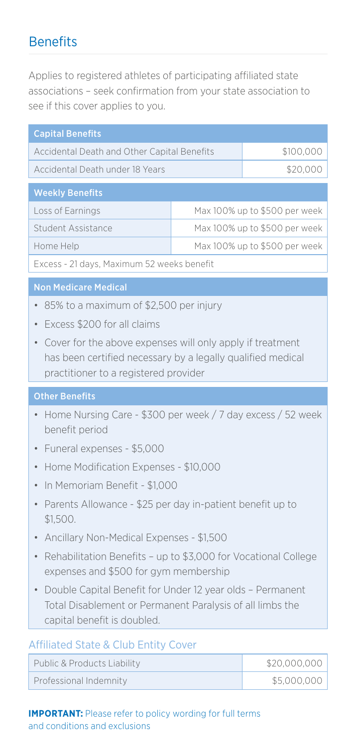## **Benefits**

Applies to registered athletes of participating affiliated state associations – seek confirmation from your state association to see if this cover applies to you.

| <b>Capital Benefits</b>                     |                               |           |  |
|---------------------------------------------|-------------------------------|-----------|--|
| Accidental Death and Other Capital Benefits |                               | \$100,000 |  |
| Accidental Death under 18 Years             |                               | \$20,000  |  |
|                                             |                               |           |  |
| <b>Weekly Benefits</b>                      |                               |           |  |
| Loss of Earnings                            | Max 100% up to \$500 per week |           |  |
| Student Assistance                          | Max 100% up to \$500 per week |           |  |
| Home Help                                   | Max 100% up to \$500 per week |           |  |
|                                             |                               |           |  |

Excess - 21 days, Maximum 52 weeks benefit

#### Non Medicare Medical

- 85% to a maximum of \$2,500 per injury
- Excess \$200 for all claims
- Cover for the above expenses will only apply if treatment has been certified necessary by a legally qualified medical practitioner to a registered provider

#### Other Benefits

- Home Nursing Care \$300 per week / 7 day excess / 52 week benefit period
- Funeral expenses \$5,000
- Home Modification Expenses \$10,000
- In Memoriam Benefit \$1,000
- Parents Allowance \$25 per day in-patient benefit up to \$1,500.
- Ancillary Non-Medical Expenses \$1,500
- Rehabilitation Benefits up to \$3,000 for Vocational College expenses and \$500 for gym membership
- Double Capital Benefit for Under 12 year olds Permanent Total Disablement or Permanent Paralysis of all limbs the capital benefit is doubled.

#### Affiliated State & Club Entity Cover

| Public & Products Liability | \$20,000,000 |
|-----------------------------|--------------|
| Professional Indemnity      | \$5,000,000  |

**IMPORTANT:** Please refer to policy wording for full terms and conditions and exclusions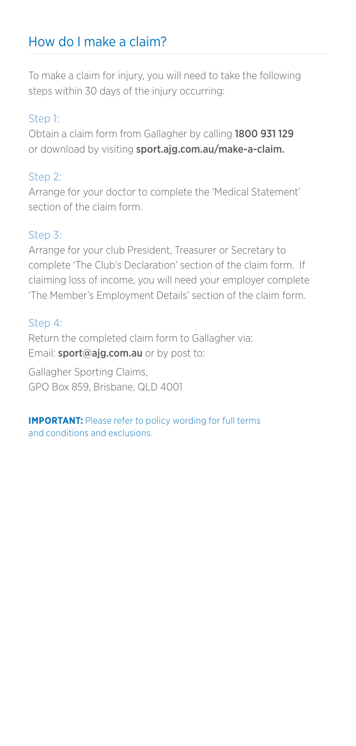# How do I make a claim?

To make a claim for injury, you will need to take the following steps within 30 days of the injury occurring:

## Step 1:

Obtain a claim form from Gallagher by calling 1800 931 129 or download by visiting sport.ajg.com.au/make-a-claim.

## Step 2:

Arrange for your doctor to complete the 'Medical Statement' section of the claim form.

### Step 3:

Arrange for your club President, Treasurer or Secretary to complete 'The Club's Declaration' section of the claim form. If claiming loss of income, you will need your employer complete 'The Member's Employment Details' section of the claim form.

#### Step 4:

Return the completed claim form to Gallagher via: Email: sport@ajg.com.au or by post to:

Gallagher Sporting Claims, GPO Box 859, Brisbane, QLD 4001

**IMPORTANT:** Please refer to policy wording for full terms and conditions and exclusions.